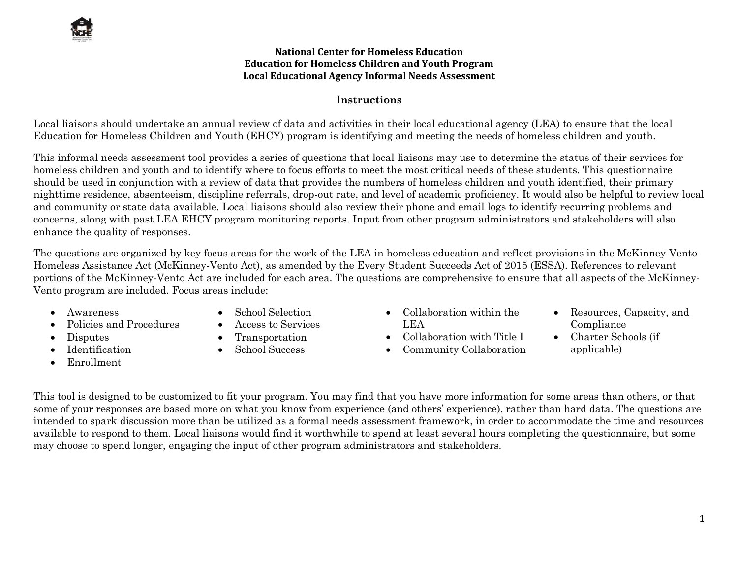#### **National Center for Homeless Education Education for Homeless Children and Youth Program Local Educational Agency Informal Needs Assessment**

# **Instructions**

Local liaisons should undertake an annual review of data and activities in their local educational agency (LEA) to ensure that the local Education for Homeless Children and Youth (EHCY) program is identifying and meeting the needs of homeless children and youth.

This informal needs assessment tool provides a series of questions that local liaisons may use to determine the status of their services for homeless children and youth and to identify where to focus efforts to meet the most critical needs of these students. This questionnaire should be used in conjunction with a review of data that provides the numbers of homeless children and youth identified, their primary nighttime residence, absenteeism, discipline referrals, drop-out rate, and level of academic proficiency. It would also be helpful to review local and community or state data available. Local liaisons should also review their phone and email logs to identify recurring problems and concerns, along with past LEA EHCY program monitoring reports. Input from other program administrators and stakeholders will also enhance the quality of responses.

The questions are organized by key focus areas for the work of the LEA in homeless education and reflect provisions in the McKinney-Vento Homeless Assistance Act (McKinney-Vento Act), as amended by the Every Student Succeeds Act of 2015 (ESSA). References to relevant portions of the McKinney-Vento Act are included for each area. The questions are comprehensive to ensure that all aspects of the McKinney-Vento program are included. Focus areas include:

- Awareness
- Policies and Procedures
- Disputes
- Identification
- Enrollment
- School Selection
- Access to Services
- Transportation
- School Success
- Collaboration within the LEA
- Collaboration with Title I
- Community Collaboration
- Resources, Capacity, and Compliance
- Charter Schools (if applicable)

This tool is designed to be customized to fit your program. You may find that you have more information for some areas than others, or that some of your responses are based more on what you know from experience (and others' experience), rather than hard data. The questions are intended to spark discussion more than be utilized as a formal needs assessment framework, in order to accommodate the time and resources available to respond to them. Local liaisons would find it worthwhile to spend at least several hours completing the questionnaire, but some may choose to spend longer, engaging the input of other program administrators and stakeholders.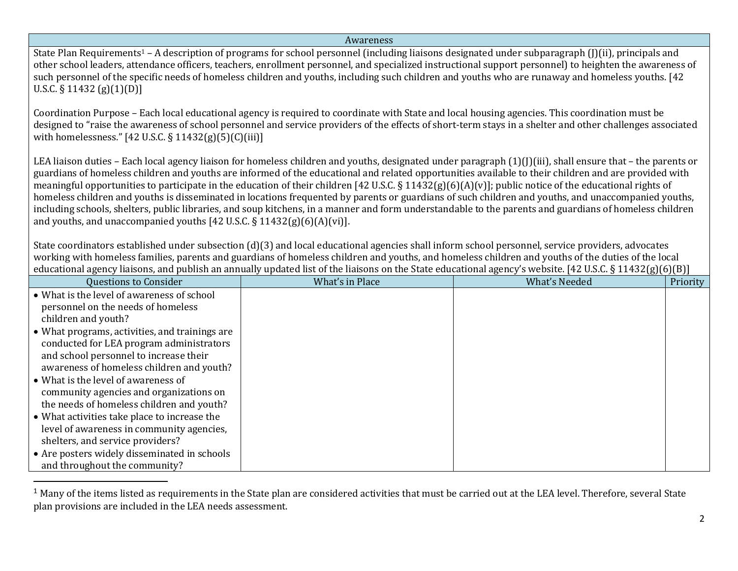#### Awareness

State Plan Requirements<sup>1</sup> – A description of programs for school personnel (including liaisons designated under subparagraph (J)(ii), principals and other school leaders, attendance officers, teachers, enrollment personnel, and specialized instructional support personnel) to heighten the awareness of such personnel of the specific needs of homeless children and youths, including such children and youths who are runaway and homeless youths. [42 U.S.C. § 11432 (g)(1)(D)]

Coordination Purpose – Each local educational agency is required to coordinate with State and local housing agencies. This coordination must be designed to "raise the awareness of school personnel and service providers of the effects of short-term stays in a shelter and other challenges associated with homelessness." [42 U.S.C. § 11432(g)(5)(C)(iii)]

LEA liaison duties – Each local agency liaison for homeless children and youths, designated under paragraph (1)(J)(iii), shall ensure that – the parents or guardians of homeless children and youths are informed of the educational and related opportunities available to their children and are provided with meaningful opportunities to participate in the education of their children [42 U.S.C. § 11432(g)(6)(A)(v)]; public notice of the educational rights of homeless children and youths is disseminated in locations frequented by parents or guardians of such children and youths, and unaccompanied youths, including schools, shelters, public libraries, and soup kitchens, in a manner and form understandable to the parents and guardians of homeless children and youths, and unaccompanied youths [42 U.S.C. § 11432(g)(6)(A)(vi)].

State coordinators established under subsection (d)(3) and local educational agencies shall inform school personnel, service providers, advocates working with homeless families, parents and guardians of homeless children and youths, and homeless children and youths of the duties of the local educational agency liaisons, and publish an annually updated list of the liaisons on the State educational agency's website. [42 U.S.C. § 11432(g)(6)(B)]

| <b>Questions to Consider</b>                   | What's in Place | <b>What's Needed</b> | Priority |
|------------------------------------------------|-----------------|----------------------|----------|
| • What is the level of awareness of school     |                 |                      |          |
| personnel on the needs of homeless             |                 |                      |          |
| children and youth?                            |                 |                      |          |
| • What programs, activities, and trainings are |                 |                      |          |
| conducted for LEA program administrators       |                 |                      |          |
| and school personnel to increase their         |                 |                      |          |
| awareness of homeless children and youth?      |                 |                      |          |
| • What is the level of awareness of            |                 |                      |          |
| community agencies and organizations on        |                 |                      |          |
| the needs of homeless children and youth?      |                 |                      |          |
| • What activities take place to increase the   |                 |                      |          |
| level of awareness in community agencies,      |                 |                      |          |
| shelters, and service providers?               |                 |                      |          |
| • Are posters widely disseminated in schools   |                 |                      |          |
| and throughout the community?                  |                 |                      |          |

 $1$  Many of the items listed as requirements in the State plan are considered activities that must be carried out at the LEA level. Therefore, several State plan provisions are included in the LEA needs assessment.

 $\overline{\phantom{a}}$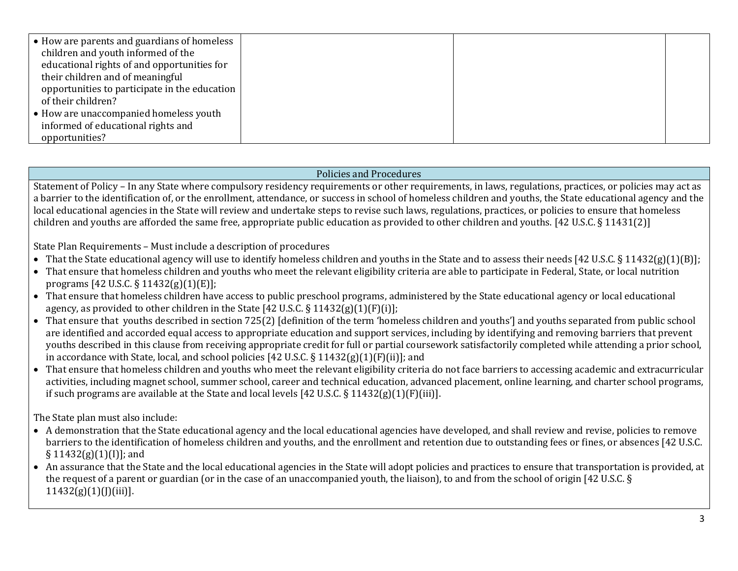| $\bullet$ How are parents and guardians of homeless |  |  |
|-----------------------------------------------------|--|--|
| children and youth informed of the                  |  |  |
| educational rights of and opportunities for         |  |  |
| their children and of meaningful                    |  |  |
| opportunities to participate in the education       |  |  |
| of their children?                                  |  |  |
| • How are unaccompanied homeless youth              |  |  |
| informed of educational rights and                  |  |  |
| opportunities?                                      |  |  |

### Policies and Procedures

Statement of Policy – In any State where compulsory residency requirements or other requirements, in laws, regulations, practices, or policies may act as a barrier to the identification of, or the enrollment, attendance, or success in school of homeless children and youths, the State educational agency and the local educational agencies in the State will review and undertake steps to revise such laws, regulations, practices, or policies to ensure that homeless children and youths are afforded the same free, appropriate public education as provided to other children and youths. [42 U.S.C. § 11431(2)]

State Plan Requirements – Must include a description of procedures

- That the State educational agency will use to identify homeless children and youths in the State and to assess their needs [42 U.S.C. § 11432(g)(1)(B)];
- That ensure that homeless children and youths who meet the relevant eligibility criteria are able to participate in Federal, State, or local nutrition programs [42 U.S.C. § 11432(g)(1)(E)];
- That ensure that homeless children have access to public preschool programs, administered by the State educational agency or local educational agency, as provided to other children in the State [42 U.S.C.  $\S 11432(g)(1)(F)(i)$ ];
- That ensure that youths described in section 725(2) [definition of the term 'homeless children and youths'] and youths separated from public school are identified and accorded equal access to appropriate education and support services, including by identifying and removing barriers that prevent youths described in this clause from receiving appropriate credit for full or partial coursework satisfactorily completed while attending a prior school, in accordance with State, local, and school policies [42 U.S.C. § 11432(g)(1)(F)(ii)]; and
- That ensure that homeless children and youths who meet the relevant eligibility criteria do not face barriers to accessing academic and extracurricular activities, including magnet school, summer school, career and technical education, advanced placement, online learning, and charter school programs, if such programs are available at the State and local levels  $[42 \text{ U.S.C.} \$ 11432(g)(1)(F)(iii)].$

The State plan must also include:

- A demonstration that the State educational agency and the local educational agencies have developed, and shall review and revise, policies to remove barriers to the identification of homeless children and youths, and the enrollment and retention due to outstanding fees or fines, or absences [42 U.S.C.  $\S 11432(g)(1)(I)$ ; and
- An assurance that the State and the local educational agencies in the State will adopt policies and practices to ensure that transportation is provided, at the request of a parent or guardian (or in the case of an unaccompanied youth, the liaison), to and from the school of origin [42 U.S.C. §  $11432(g)(1)(J)(iii)$ ].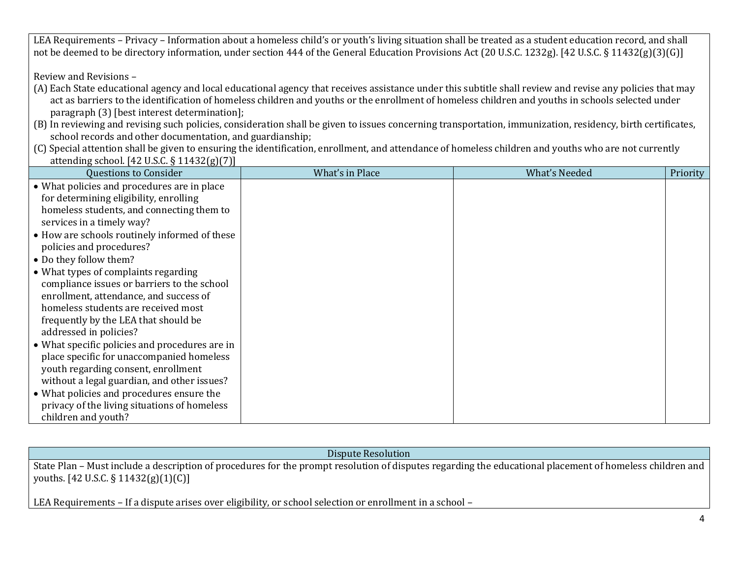LEA Requirements – Privacy – Information about a homeless child's or youth's living situation shall be treated as a student education record, and shall not be deemed to be directory information, under section 444 of the General Education Provisions Act (20 U.S.C. 1232g). [42 U.S.C. § 11432(g)(3)(G)]

Review and Revisions –

- (A) Each State educational agency and local educational agency that receives assistance under this subtitle shall review and revise any policies that may act as barriers to the identification of homeless children and youths or the enrollment of homeless children and youths in schools selected under paragraph (3) [best interest determination];
- (B) In reviewing and revising such policies, consideration shall be given to issues concerning transportation, immunization, residency, birth certificates, school records and other documentation, and guardianship;
- (C) Special attention shall be given to ensuring the identification, enrollment, and attendance of homeless children and youths who are not currently attending school. [42 U.S.C. § 11432(g)(7)]

| <b>Questions to Consider</b>                   | What's in Place | <b>What's Needed</b> | Priority |
|------------------------------------------------|-----------------|----------------------|----------|
| • What policies and procedures are in place    |                 |                      |          |
| for determining eligibility, enrolling         |                 |                      |          |
| homeless students, and connecting them to      |                 |                      |          |
| services in a timely way?                      |                 |                      |          |
| • How are schools routinely informed of these  |                 |                      |          |
| policies and procedures?                       |                 |                      |          |
| • Do they follow them?                         |                 |                      |          |
| • What types of complaints regarding           |                 |                      |          |
| compliance issues or barriers to the school    |                 |                      |          |
| enrollment, attendance, and success of         |                 |                      |          |
| homeless students are received most            |                 |                      |          |
| frequently by the LEA that should be           |                 |                      |          |
| addressed in policies?                         |                 |                      |          |
| • What specific policies and procedures are in |                 |                      |          |
| place specific for unaccompanied homeless      |                 |                      |          |
| youth regarding consent, enrollment            |                 |                      |          |
| without a legal guardian, and other issues?    |                 |                      |          |
| • What policies and procedures ensure the      |                 |                      |          |
| privacy of the living situations of homeless   |                 |                      |          |
| children and youth?                            |                 |                      |          |

Dispute Resolution

State Plan – Must include a description of procedures for the prompt resolution of disputes regarding the educational placement of homeless children and youths. [42 U.S.C. § 11432(g)(1)(C)]

LEA Requirements – If a dispute arises over eligibility, or school selection or enrollment in a school –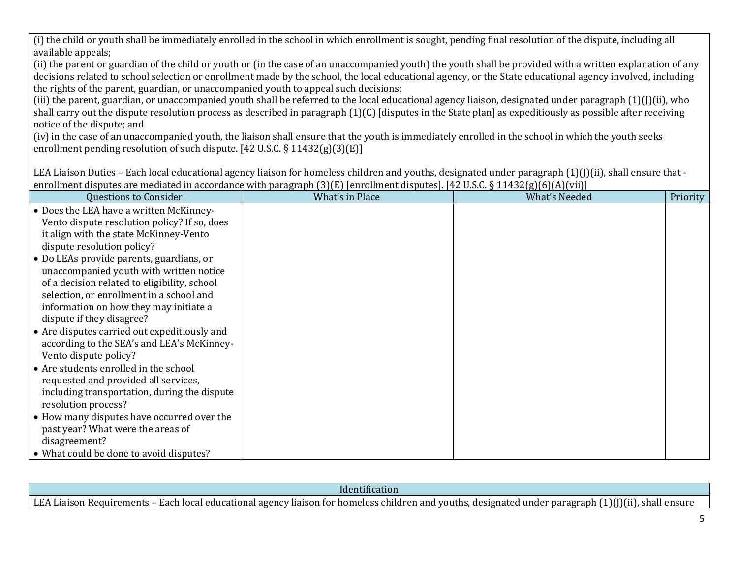(i) the child or youth shall be immediately enrolled in the school in which enrollment is sought, pending final resolution of the dispute, including all available appeals;

(ii) the parent or guardian of the child or youth or (in the case of an unaccompanied youth) the youth shall be provided with a written explanation of any decisions related to school selection or enrollment made by the school, the local educational agency, or the State educational agency involved, including the rights of the parent, guardian, or unaccompanied youth to appeal such decisions;

(iii) the parent, guardian, or unaccompanied youth shall be referred to the local educational agency liaison, designated under paragraph (1)(J)(ii), who shall carry out the dispute resolution process as described in paragraph (1)(C) [disputes in the State plan] as expeditiously as possible after receiving notice of the dispute; and

(iv) in the case of an unaccompanied youth, the liaison shall ensure that the youth is immediately enrolled in the school in which the youth seeks enrollment pending resolution of such dispute. [42 U.S.C. § 11432(g)(3)(E)]

LEA Liaison Duties – Each local educational agency liaison for homeless children and youths, designated under paragraph  $(1)(J)(ii)$ , shall ensure that enrollment disputes are mediated in accordance with paragraph (3)(E) [enrollment disputes]. [42 U.S.C. § 11432(g)(6)(A)(vii)]

| <b>Questions to Consider</b>                 | What's in Place | <b>What's Needed</b> | Priority |
|----------------------------------------------|-----------------|----------------------|----------|
| • Does the LEA have a written McKinney-      |                 |                      |          |
| Vento dispute resolution policy? If so, does |                 |                      |          |
| it align with the state McKinney-Vento       |                 |                      |          |
| dispute resolution policy?                   |                 |                      |          |
| • Do LEAs provide parents, guardians, or     |                 |                      |          |
| unaccompanied youth with written notice      |                 |                      |          |
| of a decision related to eligibility, school |                 |                      |          |
| selection, or enrollment in a school and     |                 |                      |          |
| information on how they may initiate a       |                 |                      |          |
| dispute if they disagree?                    |                 |                      |          |
| • Are disputes carried out expeditiously and |                 |                      |          |
| according to the SEA's and LEA's McKinney-   |                 |                      |          |
| Vento dispute policy?                        |                 |                      |          |
| • Are students enrolled in the school        |                 |                      |          |
| requested and provided all services,         |                 |                      |          |
| including transportation, during the dispute |                 |                      |          |
| resolution process?                          |                 |                      |          |
| • How many disputes have occurred over the   |                 |                      |          |
| past year? What were the areas of            |                 |                      |          |
| disagreement?                                |                 |                      |          |
| • What could be done to avoid disputes?      |                 |                      |          |

| Identification                                                                                                                                                                                                                                          |  |
|---------------------------------------------------------------------------------------------------------------------------------------------------------------------------------------------------------------------------------------------------------|--|
| LEA<br>'')(ii<br>- Eacr<br>1000<br>ensure<br>shall<br>. Requirements -<br>paragraph<br>. design<br>ison<br>Tiaison<br>ı and<br><b>101</b><br>™≏n<br>under<br>age<br>gnated<br>educationa.<br>nomeless<br>- TOT<br>voutns.<br>cmuar<br>enc<br>лаг<br>.dl |  |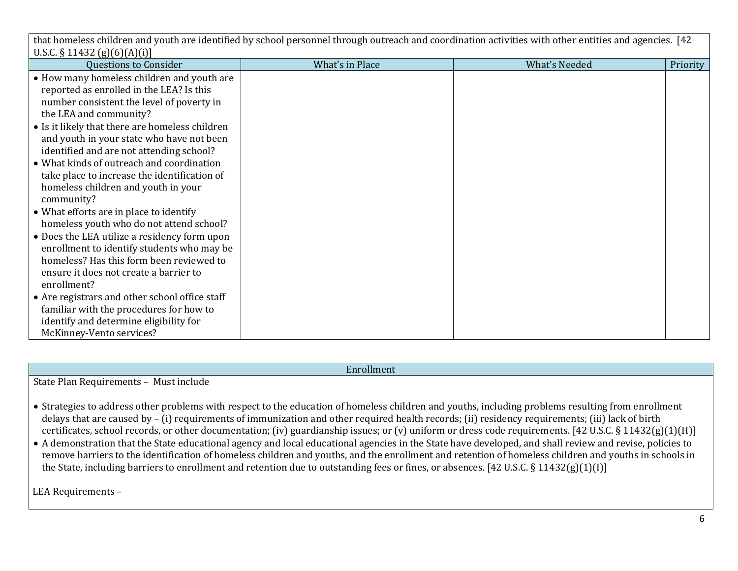that homeless children and youth are identified by school personnel through outreach and coordination activities with other entities and agencies. [42  $UCC$  § 11422  $\binom{c}{c}$  $\binom{c}{c}$ 

| $0.5.6.8$ 11454 (8)[0][A][1][                   |                 |               |          |
|-------------------------------------------------|-----------------|---------------|----------|
| <b>Questions to Consider</b>                    | What's in Place | What's Needed | Priority |
| • How many homeless children and youth are      |                 |               |          |
| reported as enrolled in the LEA? Is this        |                 |               |          |
| number consistent the level of poverty in       |                 |               |          |
| the LEA and community?                          |                 |               |          |
| • Is it likely that there are homeless children |                 |               |          |
| and youth in your state who have not been       |                 |               |          |
| identified and are not attending school?        |                 |               |          |
| • What kinds of outreach and coordination       |                 |               |          |
| take place to increase the identification of    |                 |               |          |
| homeless children and youth in your             |                 |               |          |
| community?                                      |                 |               |          |
| • What efforts are in place to identify         |                 |               |          |
| homeless youth who do not attend school?        |                 |               |          |
| • Does the LEA utilize a residency form upon    |                 |               |          |
| enrollment to identify students who may be      |                 |               |          |
| homeless? Has this form been reviewed to        |                 |               |          |
| ensure it does not create a barrier to          |                 |               |          |
| enrollment?                                     |                 |               |          |
| • Are registrars and other school office staff  |                 |               |          |
| familiar with the procedures for how to         |                 |               |          |
| identify and determine eligibility for          |                 |               |          |
| McKinney-Vento services?                        |                 |               |          |

Enrollment

State Plan Requirements – Must include

- Strategies to address other problems with respect to the education of homeless children and youths, including problems resulting from enrollment delays that are caused by – (i) requirements of immunization and other required health records; (ii) residency requirements; (iii) lack of birth certificates, school records, or other documentation; (iv) guardianship issues; or (v) uniform or dress code requirements. [42 U.S.C. § 11432(g)(1)(H)]
- A demonstration that the State educational agency and local educational agencies in the State have developed, and shall review and revise, policies to remove barriers to the identification of homeless children and youths, and the enrollment and retention of homeless children and youths in schools in the State, including barriers to enrollment and retention due to outstanding fees or fines, or absences. [42 U.S.C. § 11432(g)(1)(I)]

LEA Requirements –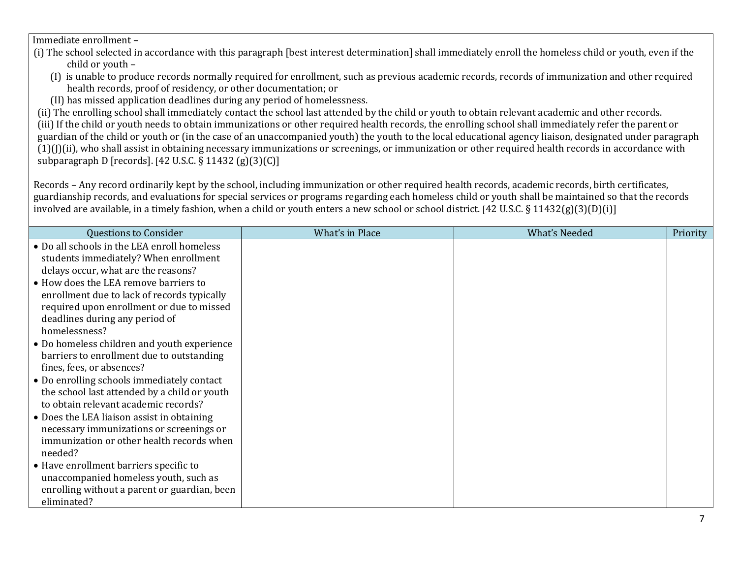Immediate enrollment –

- (i) The school selected in accordance with this paragraph [best interest determination] shall immediately enroll the homeless child or youth, even if the child or youth –
	- (I) is unable to produce records normally required for enrollment, such as previous academic records, records of immunization and other required health records, proof of residency, or other documentation; or
	- (II) has missed application deadlines during any period of homelessness.

(ii) The enrolling school shall immediately contact the school last attended by the child or youth to obtain relevant academic and other records. (iii) If the child or youth needs to obtain immunizations or other required health records, the enrolling school shall immediately refer the parent or guardian of the child or youth or (in the case of an unaccompanied youth) the youth to the local educational agency liaison, designated under paragraph (1)(J)(ii), who shall assist in obtaining necessary immunizations or screenings, or immunization or other required health records in accordance with subparagraph D [records]. [42 U.S.C. § 11432 (g)(3)(C)]

Records – Any record ordinarily kept by the school, including immunization or other required health records, academic records, birth certificates, guardianship records, and evaluations for special services or programs regarding each homeless child or youth shall be maintained so that the records involved are available, in a timely fashion, when a child or youth enters a new school or school district. [42 U.S.C. § 11432(g)(3)(D)(i)]

| <b>Questions to Consider</b>                                                                                                                                                         | What's in Place | <b>What's Needed</b> | Priority |
|--------------------------------------------------------------------------------------------------------------------------------------------------------------------------------------|-----------------|----------------------|----------|
| • Do all schools in the LEA enroll homeless<br>students immediately? When enrollment                                                                                                 |                 |                      |          |
| delays occur, what are the reasons?                                                                                                                                                  |                 |                      |          |
| • How does the LEA remove barriers to<br>enrollment due to lack of records typically<br>required upon enrollment or due to missed<br>deadlines during any period of<br>homelessness? |                 |                      |          |
| • Do homeless children and youth experience<br>barriers to enrollment due to outstanding<br>fines, fees, or absences?                                                                |                 |                      |          |
| • Do enrolling schools immediately contact<br>the school last attended by a child or youth<br>to obtain relevant academic records?                                                   |                 |                      |          |
| • Does the LEA liaison assist in obtaining<br>necessary immunizations or screenings or<br>immunization or other health records when<br>needed?                                       |                 |                      |          |
| • Have enrollment barriers specific to<br>unaccompanied homeless youth, such as<br>enrolling without a parent or guardian, been<br>eliminated?                                       |                 |                      |          |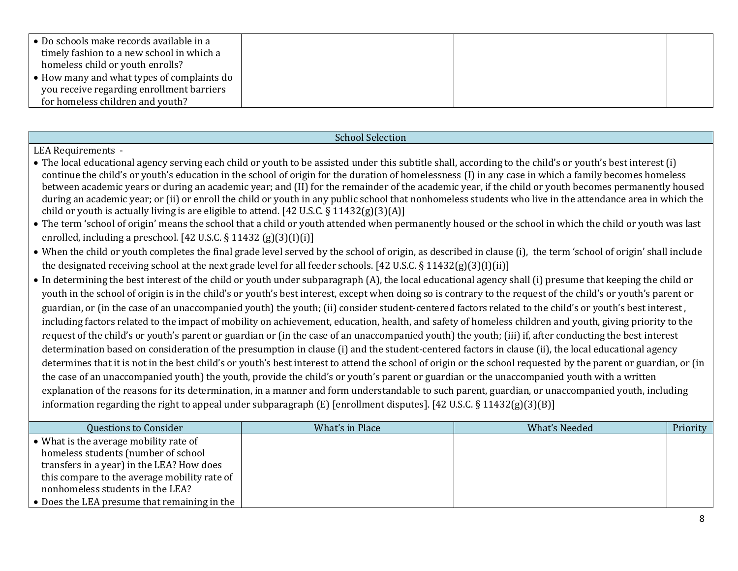| • Do schools make records available in a   |  |
|--------------------------------------------|--|
| timely fashion to a new school in which a  |  |
| homeless child or youth enrolls?           |  |
| • How many and what types of complaints do |  |
| you receive regarding enrollment barriers  |  |
| for homeless children and youth?           |  |

### School Selection

#### LEA Requirements -

- The local educational agency serving each child or youth to be assisted under this subtitle shall, according to the child's or youth's best interest (i) continue the child's or youth's education in the school of origin for the duration of homelessness (I) in any case in which a family becomes homeless between academic years or during an academic year; and (II) for the remainder of the academic year, if the child or youth becomes permanently housed during an academic year; or (ii) or enroll the child or youth in any public school that nonhomeless students who live in the attendance area in which the child or youth is actually living is are eligible to attend. [42 U.S.C. § 11432(g)(3)(A)]
- The term 'school of origin' means the school that a child or youth attended when permanently housed or the school in which the child or youth was last enrolled, including a preschool. [42 U.S.C. § 11432 (g)(3)(I)(i)]
- When the child or youth completes the final grade level served by the school of origin, as described in clause (i), the term 'school of origin' shall include the designated receiving school at the next grade level for all feeder schools. [42 U.S.C. § 11432(g)(3)(I)(ii)]
- In determining the best interest of the child or youth under subparagraph (A), the local educational agency shall (i) presume that keeping the child or youth in the school of origin is in the child's or youth's best interest, except when doing so is contrary to the request of the child's or youth's parent or guardian, or (in the case of an unaccompanied youth) the youth; (ii) consider student-centered factors related to the child's or youth's best interest , including factors related to the impact of mobility on achievement, education, health, and safety of homeless children and youth, giving priority to the request of the child's or youth's parent or guardian or (in the case of an unaccompanied youth) the youth; (iii) if, after conducting the best interest determination based on consideration of the presumption in clause (i) and the student-centered factors in clause (ii), the local educational agency determines that it is not in the best child's or youth's best interest to attend the school of origin or the school requested by the parent or guardian, or (in the case of an unaccompanied youth) the youth, provide the child's or youth's parent or guardian or the unaccompanied youth with a written explanation of the reasons for its determination, in a manner and form understandable to such parent, guardian, or unaccompanied youth, including information regarding the right to appeal under subparagraph (E) [enrollment disputes]. [42 U.S.C. § 11432(g)(3)(B)]

| Questions to Consider                              | What's in Place | What's Needed | Priority |
|----------------------------------------------------|-----------------|---------------|----------|
| • What is the average mobility rate of             |                 |               |          |
|                                                    |                 |               |          |
| homeless students (number of school                |                 |               |          |
| transfers in a year) in the LEA? How does          |                 |               |          |
| this compare to the average mobility rate of       |                 |               |          |
| nonhomeless students in the LEA?                   |                 |               |          |
| Does the LEA presume that remaining in the $\vert$ |                 |               |          |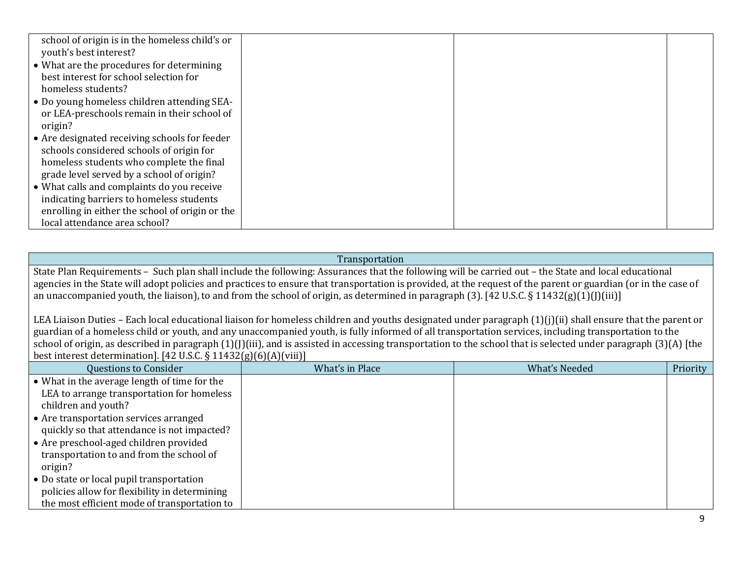| school of origin is in the homeless child's or  |  |  |
|-------------------------------------------------|--|--|
| youth's best interest?                          |  |  |
| • What are the procedures for determining       |  |  |
| best interest for school selection for          |  |  |
| homeless students?                              |  |  |
| • Do young homeless children attending SEA-     |  |  |
| or LEA-preschools remain in their school of     |  |  |
| origin?                                         |  |  |
| • Are designated receiving schools for feeder   |  |  |
| schools considered schools of origin for        |  |  |
| homeless students who complete the final        |  |  |
| grade level served by a school of origin?       |  |  |
| • What calls and complaints do you receive      |  |  |
| indicating barriers to homeless students        |  |  |
| enrolling in either the school of origin or the |  |  |
| local attendance area school?                   |  |  |

#### Transportation

State Plan Requirements – Such plan shall include the following: Assurances that the following will be carried out – the State and local educational agencies in the State will adopt policies and practices to ensure that transportation is provided, at the request of the parent or guardian (or in the case of an unaccompanied youth, the liaison), to and from the school of origin, as determined in paragraph (3). [42 U.S.C. § 11432(g)(1)(J)(iii)]

LEA Liaison Duties – Each local educational liaison for homeless children and youths designated under paragraph (1)(j)(ii) shall ensure that the parent or guardian of a homeless child or youth, and any unaccompanied youth, is fully informed of all transportation services, including transportation to the school of origin, as described in paragraph (1)(J)(iii), and is assisted in accessing transportation to the school that is selected under paragraph (3)(A) [the best interest determination]. [42 U.S.C. § 11432(g)(6)(A)(viii)]

| <b>Questions to Consider</b>                  | What's in Place | What's Needed | Priority |
|-----------------------------------------------|-----------------|---------------|----------|
| • What in the average length of time for the  |                 |               |          |
| LEA to arrange transportation for homeless    |                 |               |          |
| children and youth?                           |                 |               |          |
| • Are transportation services arranged        |                 |               |          |
| quickly so that attendance is not impacted?   |                 |               |          |
| • Are preschool-aged children provided        |                 |               |          |
| transportation to and from the school of      |                 |               |          |
| origin?                                       |                 |               |          |
| • Do state or local pupil transportation      |                 |               |          |
| policies allow for flexibility in determining |                 |               |          |
| the most efficient mode of transportation to  |                 |               |          |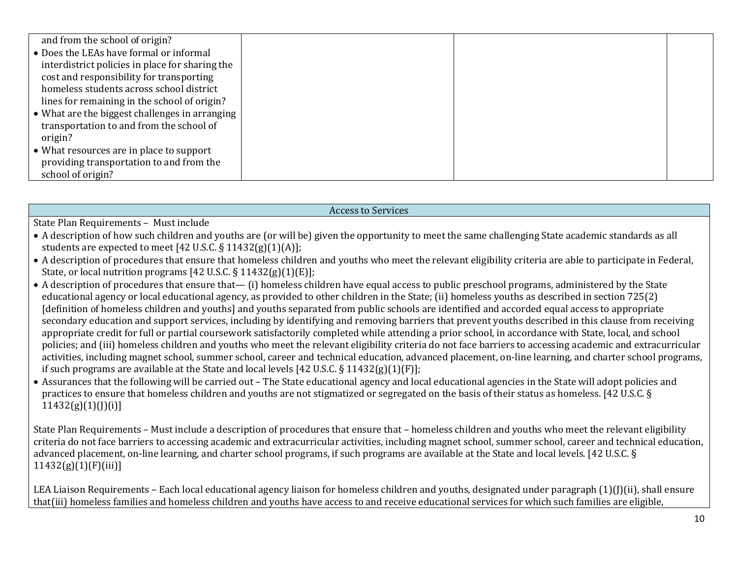| and from the school of origin?                  |  |  |
|-------------------------------------------------|--|--|
| • Does the LEAs have formal or informal         |  |  |
| interdistrict policies in place for sharing the |  |  |
| cost and responsibility for transporting        |  |  |
| homeless students across school district        |  |  |
| lines for remaining in the school of origin?    |  |  |
| • What are the biggest challenges in arranging  |  |  |
| transportation to and from the school of        |  |  |
| origin?                                         |  |  |
| • What resources are in place to support        |  |  |
| providing transportation to and from the        |  |  |
| school of origin?                               |  |  |

#### Access to Services

State Plan Requirements – Must include

- A description of how such children and youths are (or will be) given the opportunity to meet the same challenging State academic standards as all students are expected to meet [42 U.S.C.  $\S$  11432(g)(1)(A)];
- A description of procedures that ensure that homeless children and youths who meet the relevant eligibility criteria are able to participate in Federal, State, or local nutrition programs [42 U.S.C. § 11432(g)(1)(E)];
- A description of procedures that ensure that— (i) homeless children have equal access to public preschool programs, administered by the State educational agency or local educational agency, as provided to other children in the State; (ii) homeless youths as described in section 725(2) [definition of homeless children and youths] and youths separated from public schools are identified and accorded equal access to appropriate secondary education and support services, including by identifying and removing barriers that prevent youths described in this clause from receiving appropriate credit for full or partial coursework satisfactorily completed while attending a prior school, in accordance with State, local, and school policies; and (iii) homeless children and youths who meet the relevant eligibility criteria do not face barriers to accessing academic and extracurricular activities, including magnet school, summer school, career and technical education, advanced placement, on-line learning, and charter school programs, if such programs are available at the State and local levels [42 U.S.C. § 11432(g)(1)(F)];
- Assurances that the following will be carried out The State educational agency and local educational agencies in the State will adopt policies and practices to ensure that homeless children and youths are not stigmatized or segregated on the basis of their status as homeless. [42 U.S.C. §  $11432(g)(1)(J)(i)$ ]

State Plan Requirements – Must include a description of procedures that ensure that – homeless children and youths who meet the relevant eligibility criteria do not face barriers to accessing academic and extracurricular activities, including magnet school, summer school, career and technical education, advanced placement, on-line learning, and charter school programs, if such programs are available at the State and local levels. [42 U.S.C. §  $11432(g)(1)(F)(iii)$ ]

LEA Liaison Requirements – Each local educational agency liaison for homeless children and youths, designated under paragraph (1)([)(ii), shall ensure that(iii) homeless families and homeless children and youths have access to and receive educational services for which such families are eligible,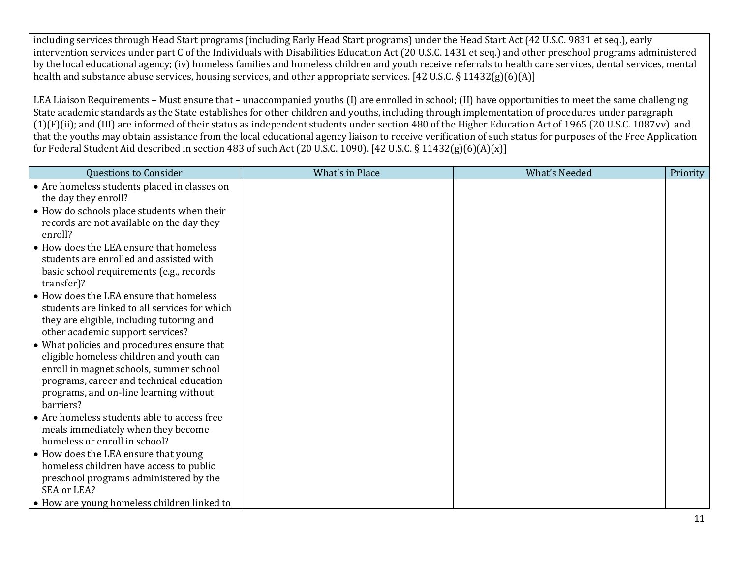including services through Head Start programs (including Early Head Start programs) under the Head Start Act (42 U.S.C. 9831 et seq.), early intervention services under part C of the Individuals with Disabilities Education Act (20 U.S.C. 1431 et seq.) and other preschool programs administered by the local educational agency; (iv) homeless families and homeless children and youth receive referrals to health care services, dental services, mental health and substance abuse services, housing services, and other appropriate services. [42 U.S.C. § 11432(g)(6)(A)]

LEA Liaison Requirements – Must ensure that – unaccompanied youths (I) are enrolled in school; (II) have opportunities to meet the same challenging State academic standards as the State establishes for other children and youths, including through implementation of procedures under paragraph  $(1)(F)(ii)$ ; and (III) are informed of their status as independent students under section 480 of the Higher Education Act of 1965 (20 U.S.C. 1087vv) and that the youths may obtain assistance from the local educational agency liaison to receive verification of such status for purposes of the Free Application for Federal Student Aid described in section 483 of such Act (20 U.S.C. 1090). [42 U.S.C. § 11432(g)(6)(A)(x)]

| <b>Questions to Consider</b>                                                                                                                                                                                                         | What's in Place | <b>What's Needed</b> | Priority |
|--------------------------------------------------------------------------------------------------------------------------------------------------------------------------------------------------------------------------------------|-----------------|----------------------|----------|
| • Are homeless students placed in classes on<br>the day they enroll?                                                                                                                                                                 |                 |                      |          |
| • How do schools place students when their<br>records are not available on the day they<br>enroll?                                                                                                                                   |                 |                      |          |
| • How does the LEA ensure that homeless<br>students are enrolled and assisted with<br>basic school requirements (e.g., records<br>transfer)?                                                                                         |                 |                      |          |
| • How does the LEA ensure that homeless<br>students are linked to all services for which<br>they are eligible, including tutoring and<br>other academic support services?                                                            |                 |                      |          |
| • What policies and procedures ensure that<br>eligible homeless children and youth can<br>enroll in magnet schools, summer school<br>programs, career and technical education<br>programs, and on-line learning without<br>barriers? |                 |                      |          |
| • Are homeless students able to access free<br>meals immediately when they become<br>homeless or enroll in school?                                                                                                                   |                 |                      |          |
| • How does the LEA ensure that young<br>homeless children have access to public<br>preschool programs administered by the<br>SEA or LEA?                                                                                             |                 |                      |          |
| • How are young homeless children linked to                                                                                                                                                                                          |                 |                      |          |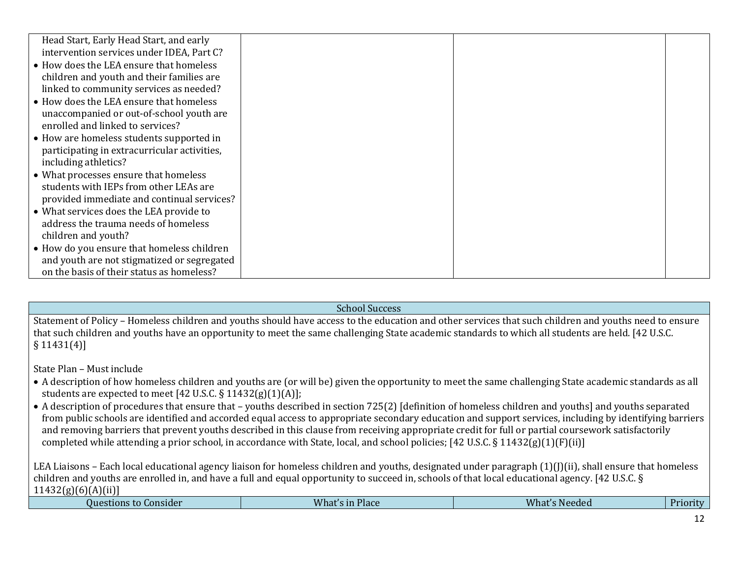| Head Start, Early Head Start, and early      |  |  |
|----------------------------------------------|--|--|
| intervention services under IDEA, Part C?    |  |  |
| • How does the LEA ensure that homeless      |  |  |
|                                              |  |  |
| children and youth and their families are    |  |  |
| linked to community services as needed?      |  |  |
| • How does the LEA ensure that homeless      |  |  |
| unaccompanied or out-of-school youth are     |  |  |
| enrolled and linked to services?             |  |  |
| • How are homeless students supported in     |  |  |
| participating in extracurricular activities, |  |  |
| including athletics?                         |  |  |
| • What processes ensure that homeless        |  |  |
| students with IEPs from other LEAs are       |  |  |
| provided immediate and continual services?   |  |  |
| • What services does the LEA provide to      |  |  |
| address the trauma needs of homeless         |  |  |
| children and youth?                          |  |  |
| • How do you ensure that homeless children   |  |  |
| and youth are not stigmatized or segregated  |  |  |
| on the basis of their status as homeless?    |  |  |

School Success

Statement of Policy – Homeless children and youths should have access to the education and other services that such children and youths need to ensure that such children and youths have an opportunity to meet the same challenging State academic standards to which all students are held. [42 U.S.C. § 11431(4)]

State Plan – Must include

- A description of how homeless children and youths are (or will be) given the opportunity to meet the same challenging State academic standards as all students are expected to meet [42 U.S.C. § 11432(g)(1)(A)];
- A description of procedures that ensure that youths described in section 725(2) [definition of homeless children and youths] and youths separated from public schools are identified and accorded equal access to appropriate secondary education and support services, including by identifying barriers and removing barriers that prevent youths described in this clause from receiving appropriate credit for full or partial coursework satisfactorily completed while attending a prior school, in accordance with State, local, and school policies; [42 U.S.C. § 11432(g)(1)(F)(ii)]

LEA Liaisons – Each local educational agency liaison for homeless children and youths, designated under paragraph  $(1)(j)(ii)$ , shall ensure that homeless children and youths are enrolled in, and have a full and equal opportunity to succeed in, schools of that local educational agency. [42 U.S.C. §  $11432(g)(6)(A)(ii)$ ]

| Questions to Consider | <b>What</b><br>Place<br>$\sim$ $\sim$<br>- In | $\sim$<br>`″na⊾<br>Needed | ∽<br>J wr<br>. |  |
|-----------------------|-----------------------------------------------|---------------------------|----------------|--|
|                       |                                               |                           |                |  |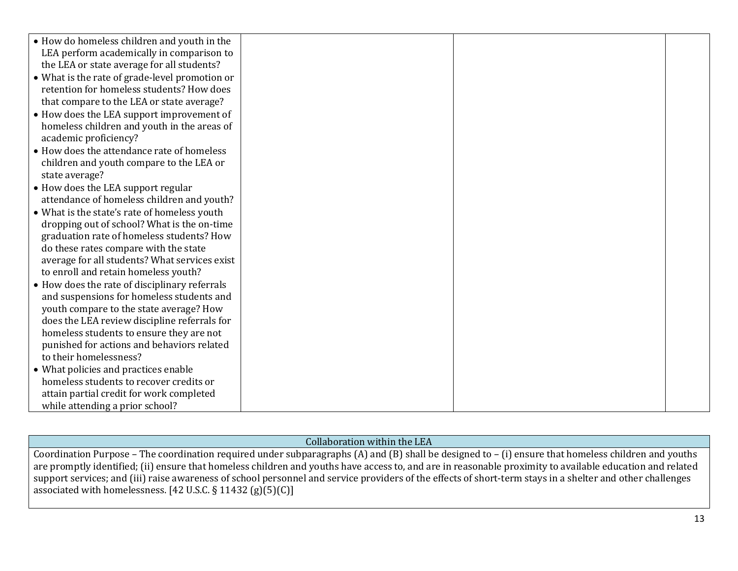| • How do homeless children and youth in the    |  |  |
|------------------------------------------------|--|--|
| LEA perform academically in comparison to      |  |  |
| the LEA or state average for all students?     |  |  |
| • What is the rate of grade-level promotion or |  |  |
| retention for homeless students? How does      |  |  |
| that compare to the LEA or state average?      |  |  |
| • How does the LEA support improvement of      |  |  |
| homeless children and youth in the areas of    |  |  |
| academic proficiency?                          |  |  |
| • How does the attendance rate of homeless     |  |  |
| children and youth compare to the LEA or       |  |  |
| state average?                                 |  |  |
| • How does the LEA support regular             |  |  |
| attendance of homeless children and youth?     |  |  |
| • What is the state's rate of homeless youth   |  |  |
| dropping out of school? What is the on-time    |  |  |
| graduation rate of homeless students? How      |  |  |
| do these rates compare with the state          |  |  |
| average for all students? What services exist  |  |  |
| to enroll and retain homeless youth?           |  |  |
| • How does the rate of disciplinary referrals  |  |  |
| and suspensions for homeless students and      |  |  |
| youth compare to the state average? How        |  |  |
| does the LEA review discipline referrals for   |  |  |
| homeless students to ensure they are not       |  |  |
| punished for actions and behaviors related     |  |  |
| to their homelessness?                         |  |  |
| • What policies and practices enable           |  |  |
| homeless students to recover credits or        |  |  |
| attain partial credit for work completed       |  |  |
| while attending a prior school?                |  |  |

#### Collaboration within the LEA

Coordination Purpose – The coordination required under subparagraphs (A) and (B) shall be designed to – (i) ensure that homeless children and youths are promptly identified; (ii) ensure that homeless children and youths have access to, and are in reasonable proximity to available education and related support services; and (iii) raise awareness of school personnel and service providers of the effects of short-term stays in a shelter and other challenges associated with homelessness. [42 U.S.C.  $\S$  11432 (g)(5)(C)]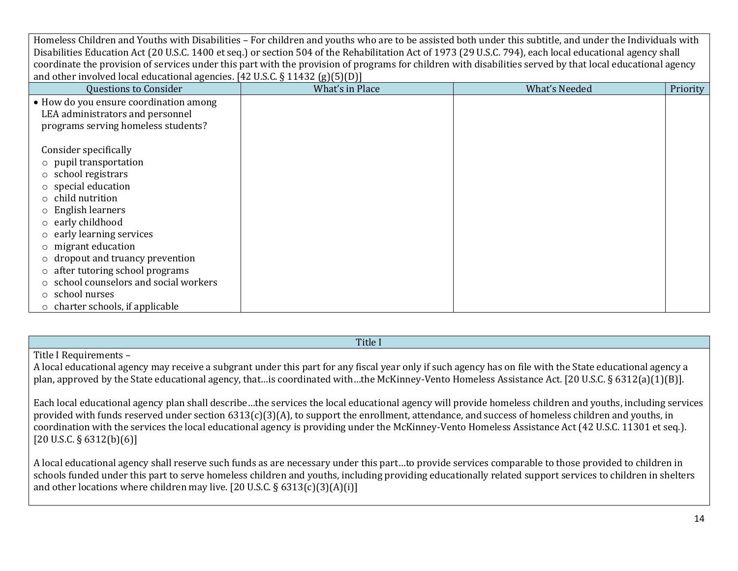| coordinate the provision of services under this part with the provision of programs for children with disabilities served by that local educational agency |                 |                      |          |
|------------------------------------------------------------------------------------------------------------------------------------------------------------|-----------------|----------------------|----------|
| and other involved local educational agencies. [42 U.S.C. $\S$ 11432 (g)(5)(D)]                                                                            |                 |                      |          |
| <b>Questions to Consider</b>                                                                                                                               | What's in Place | <b>What's Needed</b> | Priority |
| • How do you ensure coordination among                                                                                                                     |                 |                      |          |
| LEA administrators and personnel                                                                                                                           |                 |                      |          |
| programs serving homeless students?                                                                                                                        |                 |                      |          |
|                                                                                                                                                            |                 |                      |          |
| Consider specifically                                                                                                                                      |                 |                      |          |
| o pupil transportation                                                                                                                                     |                 |                      |          |
| $\circ$ school registrars                                                                                                                                  |                 |                      |          |
| $\circ$ special education                                                                                                                                  |                 |                      |          |
| $\circ$ child nutrition                                                                                                                                    |                 |                      |          |
| English learners                                                                                                                                           |                 |                      |          |
| early childhood                                                                                                                                            |                 |                      |          |
| early learning services                                                                                                                                    |                 |                      |          |
| $\circ$ migrant education                                                                                                                                  |                 |                      |          |
| dropout and truancy prevention                                                                                                                             |                 |                      |          |
| after tutoring school programs<br>$\circ$                                                                                                                  |                 |                      |          |
| school counselors and social workers                                                                                                                       |                 |                      |          |
| school nurses<br>$\circ$                                                                                                                                   |                 |                      |          |
| $\circ$ charter schools, if applicable                                                                                                                     |                 |                      |          |

Homeless Children and Youths with Disabilities – For children and youths who are to be assisted both under this subtitle, and under the Individuals with Disabilities Education Act (20 U.S.C. 1400 et seq.) or section 504 of the Rehabilitation Act of 1973 (29 U.S.C. 794), each local educational agency shall

#### Title I

#### Title I Requirements –

A local educational agency may receive a subgrant under this part for any fiscal year only if such agency has on file with the State educational agency a plan, approved by the State educational agency, that…is coordinated with…the McKinney-Vento Homeless Assistance Act. [20 U.S.C. § 6312(a)(1)(B)].

Each local educational agency plan shall describe…the services the local educational agency will provide homeless children and youths, including services provided with funds reserved under section 6313(c)(3)(A), to support the enrollment, attendance, and success of homeless children and youths, in coordination with the services the local educational agency is providing under the McKinney-Vento Homeless Assistance Act (42 U.S.C. 11301 et seq.).  $[20 \text{ U.S.C.} \S 6312 \text{ (b)} \S 6)]$ 

A local educational agency shall reserve such funds as are necessary under this part…to provide services comparable to those provided to children in schools funded under this part to serve homeless children and youths, including providing educationally related support services to children in shelters and other locations where children may live. [20 U.S.C. § 6313(c)(3)(A)(i)]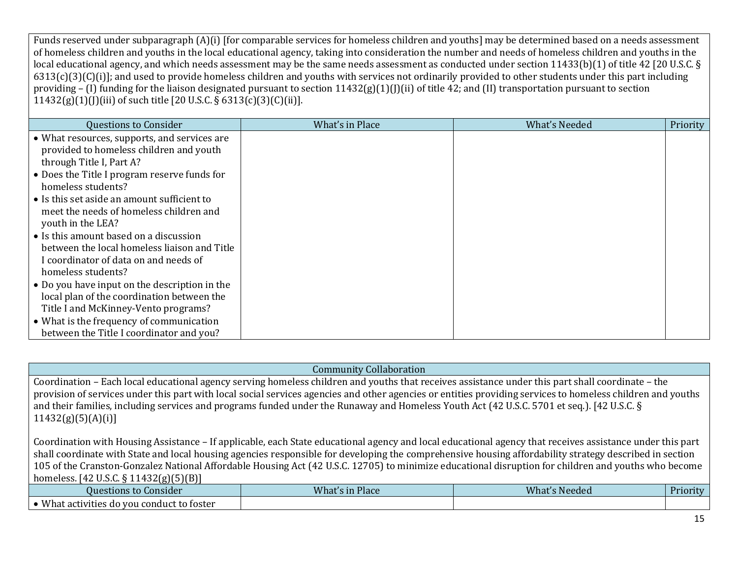Funds reserved under subparagraph (A)(i) [for comparable services for homeless children and youths] may be determined based on a needs assessment of homeless children and youths in the local educational agency, taking into consideration the number and needs of homeless children and youths in the local educational agency, and which needs assessment may be the same needs assessment as conducted under section 11433(b)(1) of title 42 [20 U.S.C. §  $6313(c)(3)(C)(i)$ ; and used to provide homeless children and youths with services not ordinarily provided to other students under this part including providing – (I) funding for the liaison designated pursuant to section  $11432(g)(1)(j)(ii)$  of title 42; and (II) transportation pursuant to section 11432(g)(1)(J)(iii) of such title [20 U.S.C. § 6313(c)(3)(C)(ii)].

| <b>Questions to Consider</b>                                                                                                                          | What's in Place | <b>What's Needed</b> | Priority |
|-------------------------------------------------------------------------------------------------------------------------------------------------------|-----------------|----------------------|----------|
| • What resources, supports, and services are<br>provided to homeless children and youth<br>through Title I, Part A?                                   |                 |                      |          |
| • Does the Title I program reserve funds for<br>homeless students?                                                                                    |                 |                      |          |
| • Is this set aside an amount sufficient to<br>meet the needs of homeless children and<br>youth in the LEA?                                           |                 |                      |          |
| • Is this amount based on a discussion<br>between the local homeless liaison and Title<br>I coordinator of data on and needs of<br>homeless students? |                 |                      |          |
| • Do you have input on the description in the<br>local plan of the coordination between the<br>Title I and McKinney-Vento programs?                   |                 |                      |          |
| • What is the frequency of communication<br>between the Title I coordinator and you?                                                                  |                 |                      |          |

#### Community Collaboration

Coordination – Each local educational agency serving homeless children and youths that receives assistance under this part shall coordinate – the provision of services under this part with local social services agencies and other agencies or entities providing services to homeless children and youths and their families, including services and programs funded under the Runaway and Homeless Youth Act (42 U.S.C. 5701 et seq.). [42 U.S.C. §  $11432(g)(5)(A)(i)$ ]

Coordination with Housing Assistance – If applicable, each State educational agency and local educational agency that receives assistance under this part shall coordinate with State and local housing agencies responsible for developing the comprehensive housing affordability strategy described in section 105 of the Cranston-Gonzalez National Affordable Housing Act (42 U.S.C. 12705) to minimize educational disruption for children and youths who become homeless. [42 U.S.C. § 11432(g)(5)(B)]

| $\overline{\phantom{a}}$<br>--<br>.                                            |                                         |                      |          |
|--------------------------------------------------------------------------------|-----------------------------------------|----------------------|----------|
| , Consider<br>Questions to                                                     | What<br>Place<br><b>THE</b><br>. 5. III | <b>What's Needed</b> | Priority |
| $M/h$ of<br>conduct to foster :<br>rt activities.<br><b>VOU</b><br>.do<br>IIdl |                                         |                      |          |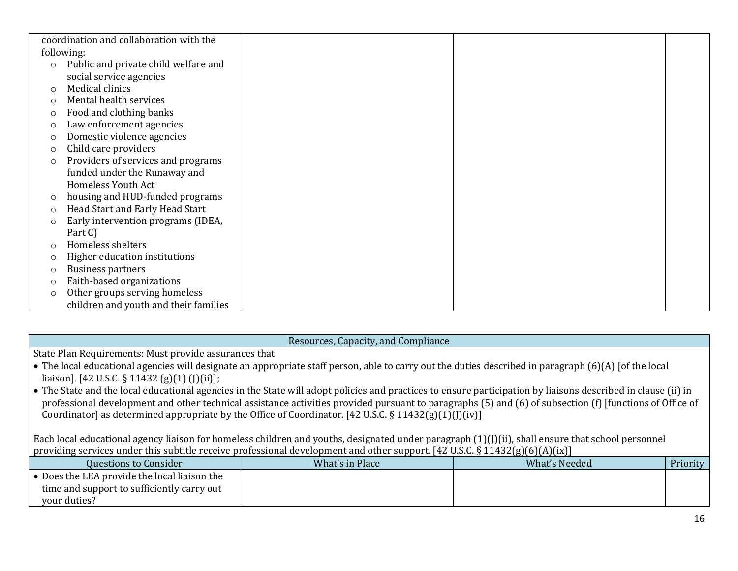|            | coordination and collaboration with the |  |
|------------|-----------------------------------------|--|
|            | following:                              |  |
| $\circ$    | Public and private child welfare and    |  |
|            | social service agencies                 |  |
| $\bigcirc$ | Medical clinics                         |  |
| $\bigcirc$ | Mental health services                  |  |
| $\circ$    | Food and clothing banks                 |  |
| $\circ$    | Law enforcement agencies                |  |
| $\Omega$   | Domestic violence agencies              |  |
| $\circ$    | Child care providers                    |  |
| $\circ$    | Providers of services and programs      |  |
|            | funded under the Runaway and            |  |
|            | <b>Homeless Youth Act</b>               |  |
| $\circ$    | housing and HUD-funded programs         |  |
| $\circ$    | Head Start and Early Head Start         |  |
| $\circ$    | Early intervention programs (IDEA,      |  |
|            | Part C)                                 |  |
| $\bigcirc$ | Homeless shelters                       |  |
| $\circ$    | Higher education institutions           |  |
| O          | <b>Business partners</b>                |  |
| $\circ$    | Faith-based organizations               |  |
| $\circ$    | Other groups serving homeless           |  |
|            | children and youth and their families   |  |

#### Resources, Capacity, and Compliance

State Plan Requirements: Must provide assurances that

- The local educational agencies will designate an appropriate staff person, able to carry out the duties described in paragraph (6)(A) [of the local liaison]. [42 U.S.C. § 11432 (g)(1) (J)(ii)];
- The State and the local educational agencies in the State will adopt policies and practices to ensure participation by liaisons described in clause (ii) in professional development and other technical assistance activities provided pursuant to paragraphs (5) and (6) of subsection (f) [functions of Office of Coordinator] as determined appropriate by the Office of Coordinator. [42 U.S.C. § 11432(g)(1)(J)(iv)]

Each local educational agency liaison for homeless children and youths, designated under paragraph (1)(J)(ii), shall ensure that school personnel providing services under this subtitle receive professional development and other support. [42 U.S.C. § 11432(g)(6)(A)(ix)]

| Questions to Consider                        | What's in Place | What's Needed | <b>Priority</b> |
|----------------------------------------------|-----------------|---------------|-----------------|
| • Does the LEA provide the local liaison the |                 |               |                 |
| time and support to sufficiently carry out   |                 |               |                 |
| your duties?                                 |                 |               |                 |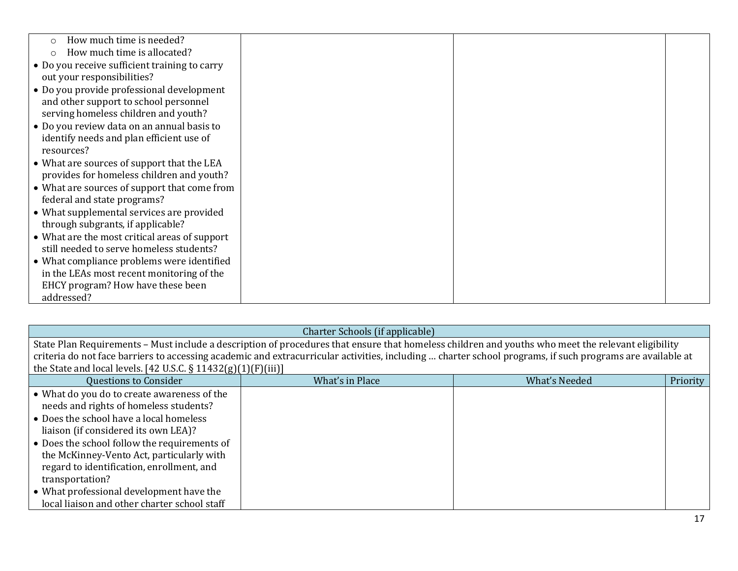| How much time is needed?<br>$\circ$           |  |
|-----------------------------------------------|--|
| How much time is allocated?                   |  |
| • Do you receive sufficient training to carry |  |
| out your responsibilities?                    |  |
| • Do you provide professional development     |  |
|                                               |  |
| and other support to school personnel         |  |
| serving homeless children and youth?          |  |
| • Do you review data on an annual basis to    |  |
| identify needs and plan efficient use of      |  |
| resources?                                    |  |
| • What are sources of support that the LEA    |  |
| provides for homeless children and youth?     |  |
| • What are sources of support that come from  |  |
| federal and state programs?                   |  |
| • What supplemental services are provided     |  |
| through subgrants, if applicable?             |  |
|                                               |  |
| • What are the most critical areas of support |  |
| still needed to serve homeless students?      |  |
| • What compliance problems were identified    |  |
| in the LEAs most recent monitoring of the     |  |
| EHCY program? How have these been             |  |
| addressed?                                    |  |

| Charter Schools (if applicable)                                   |                                                                                                                                                           |                      |          |  |
|-------------------------------------------------------------------|-----------------------------------------------------------------------------------------------------------------------------------------------------------|----------------------|----------|--|
|                                                                   | State Plan Requirements - Must include a description of procedures that ensure that homeless children and youths who meet the relevant eligibility        |                      |          |  |
|                                                                   | criteria do not face barriers to accessing academic and extracurricular activities, including  charter school programs, if such programs are available at |                      |          |  |
| the State and local levels. [42 U.S.C. $\S 11432(g)(1)(F)(iii)$ ] |                                                                                                                                                           |                      |          |  |
| <b>Questions to Consider</b>                                      | What's in Place                                                                                                                                           | <b>What's Needed</b> | Priority |  |
| • What do you do to create awareness of the                       |                                                                                                                                                           |                      |          |  |
| needs and rights of homeless students?                            |                                                                                                                                                           |                      |          |  |
| • Does the school have a local homeless                           |                                                                                                                                                           |                      |          |  |
| liaison (if considered its own LEA)?                              |                                                                                                                                                           |                      |          |  |
| • Does the school follow the requirements of                      |                                                                                                                                                           |                      |          |  |
| the McKinney-Vento Act, particularly with                         |                                                                                                                                                           |                      |          |  |
| regard to identification, enrollment, and                         |                                                                                                                                                           |                      |          |  |
| transportation?                                                   |                                                                                                                                                           |                      |          |  |
| • What professional development have the                          |                                                                                                                                                           |                      |          |  |
| local liaison and other charter school staff                      |                                                                                                                                                           |                      |          |  |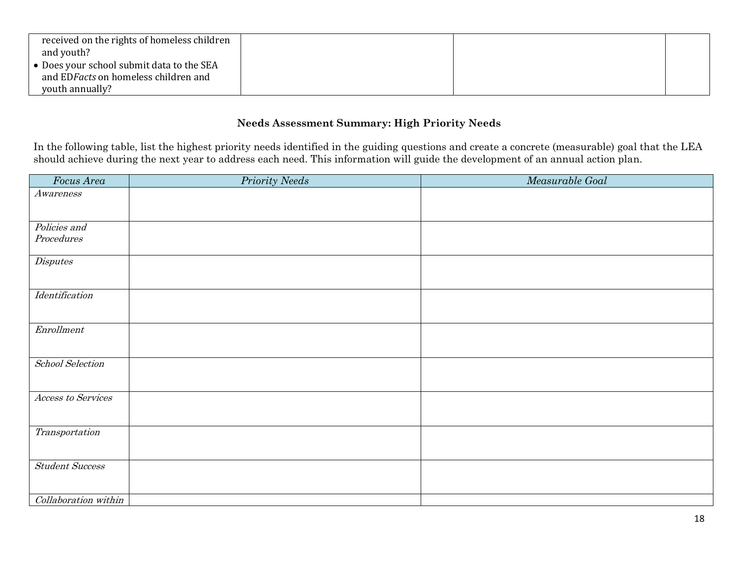| received on the rights of homeless children |  |  |
|---------------------------------------------|--|--|
| and youth?                                  |  |  |
| • Does your school submit data to the SEA   |  |  |
| and EDFacts on homeless children and        |  |  |
| youth annually?                             |  |  |

## **Needs Assessment Summary: High Priority Needs**

In the following table, list the highest priority needs identified in the guiding questions and create a concrete (measurable) goal that the LEA should achieve during the next year to address each need. This information will guide the development of an annual action plan.

| Focus Area              | <b>Priority Needs</b> | Measurable Goal |
|-------------------------|-----------------------|-----------------|
| Awareness               |                       |                 |
|                         |                       |                 |
| Policies and            |                       |                 |
| Proceedures             |                       |                 |
| $\label{dil} Disputes$  |                       |                 |
| Identification          |                       |                 |
|                         |                       |                 |
| Enrollment              |                       |                 |
|                         |                       |                 |
|                         |                       |                 |
| <b>School Selection</b> |                       |                 |
|                         |                       |                 |
| Access to Services      |                       |                 |
|                         |                       |                 |
| Transportation          |                       |                 |
|                         |                       |                 |
| <b>Student Success</b>  |                       |                 |
|                         |                       |                 |
| Collaboration within    |                       |                 |